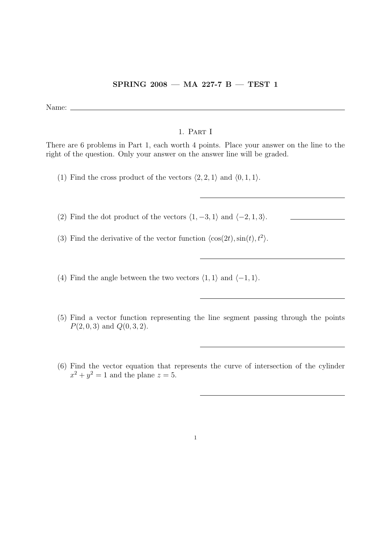## SPRING 2008 — MA 227-7 B — TEST 1

Name:  $\equiv$ 

## 1. Part I

There are 6 problems in Part 1, each worth 4 points. Place your answer on the line to the right of the question. Only your answer on the answer line will be graded.

(1) Find the cross product of the vectors  $\langle 2, 2, 1 \rangle$  and  $\langle 0, 1, 1 \rangle$ .

(2) Find the dot product of the vectors  $\langle 1, -3, 1 \rangle$  and  $\langle -2, 1, 3 \rangle$ .

(3) Find the derivative of the vector function  $\langle \cos(2t), \sin(t), t^2 \rangle$ .

(4) Find the angle between the two vectors  $\langle 1, 1 \rangle$  and  $\langle -1, 1 \rangle$ .

- (5) Find a vector function representing the line segment passing through the points  $P(2, 0, 3)$  and  $Q(0, 3, 2)$ .
- (6) Find the vector equation that represents the curve of intersection of the cylinder  $x^2 + y^2 = 1$  and the plane  $z = 5$ .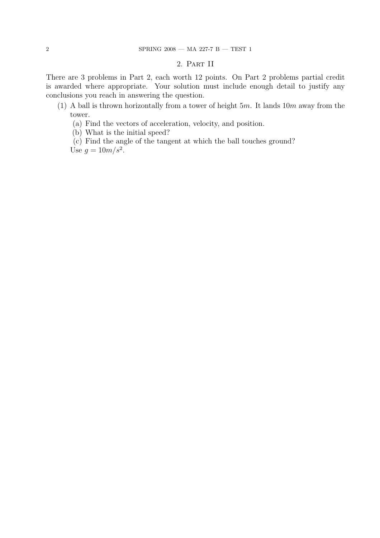## 2. Part II

There are 3 problems in Part 2, each worth 12 points. On Part 2 problems partial credit is awarded where appropriate. Your solution must include enough detail to justify any conclusions you reach in answering the question.

- (1) A ball is thrown horizontally from a tower of height  $5m$ . It lands  $10m$  away from the tower.
	- (a) Find the vectors of acceleration, velocity, and position.
	- (b) What is the initial speed?
	- (c) Find the angle of the tangent at which the ball touches ground?

Use  $g = 10m/s^2$ .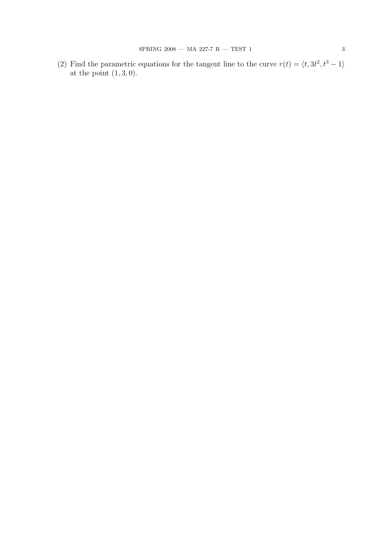(2) Find the parametric equations for the tangent line to the curve  $r(t) = \langle t, 3t^2, t^3 - 1 \rangle$ at the point  $(1, 3, 0)$ .